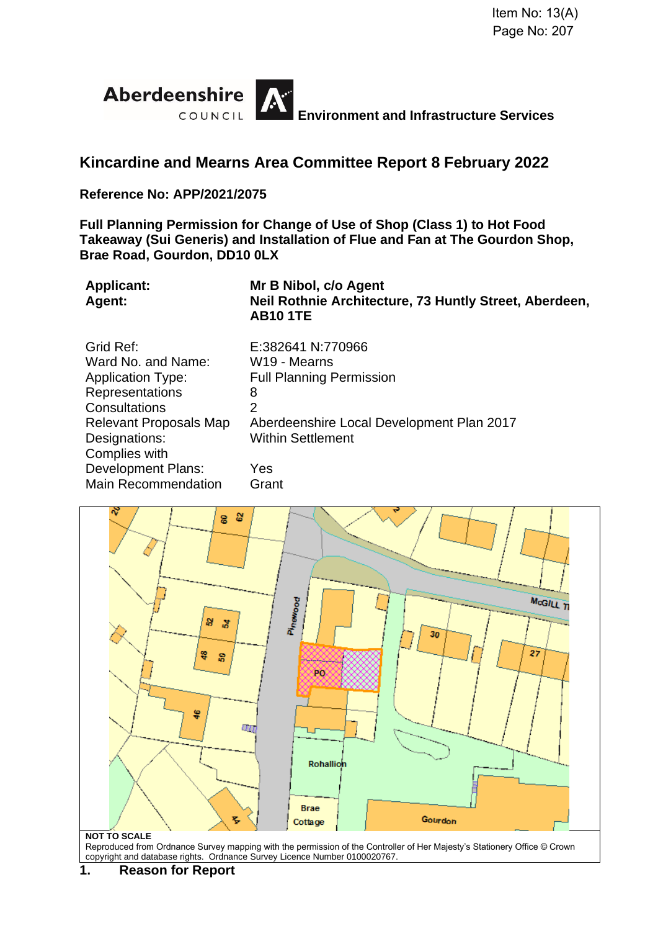

# **Kincardine and Mearns Area Committee Report 8 February 2022**

# **Reference No: APP/2021/2075**

**Full Planning Permission for Change of Use of Shop (Class 1) to Hot Food Takeaway (Sui Generis) and Installation of Flue and Fan at The Gourdon Shop, Brae Road, Gourdon, DD10 0LX**

| <b>Applicant:</b><br>Agent:   | Mr B Nibol, c/o Agent<br>Neil Rothnie Architecture, 73 Huntly Street, Aberdeen,<br><b>AB10 1TE</b> |
|-------------------------------|----------------------------------------------------------------------------------------------------|
| Grid Ref:                     | E:382641 N:770966                                                                                  |
| Ward No. and Name:            | W <sub>19</sub> - Mearns                                                                           |
| <b>Application Type:</b>      | <b>Full Planning Permission</b>                                                                    |
| Representations               | 8                                                                                                  |
| Consultations                 | $\overline{2}$                                                                                     |
| <b>Relevant Proposals Map</b> | Aberdeenshire Local Development Plan 2017                                                          |
| Designations:                 | <b>Within Settlement</b>                                                                           |
| Complies with                 |                                                                                                    |
| <b>Development Plans:</b>     | Yes                                                                                                |
| <b>Main Recommendation</b>    | Grant                                                                                              |
|                               |                                                                                                    |



Reproduced from Ordnance Survey mapping with the permission of the Controller of Her Majesty's Stationery Office © Crown copyright and database rights. Ordnance Survey Licence Number 0100020767.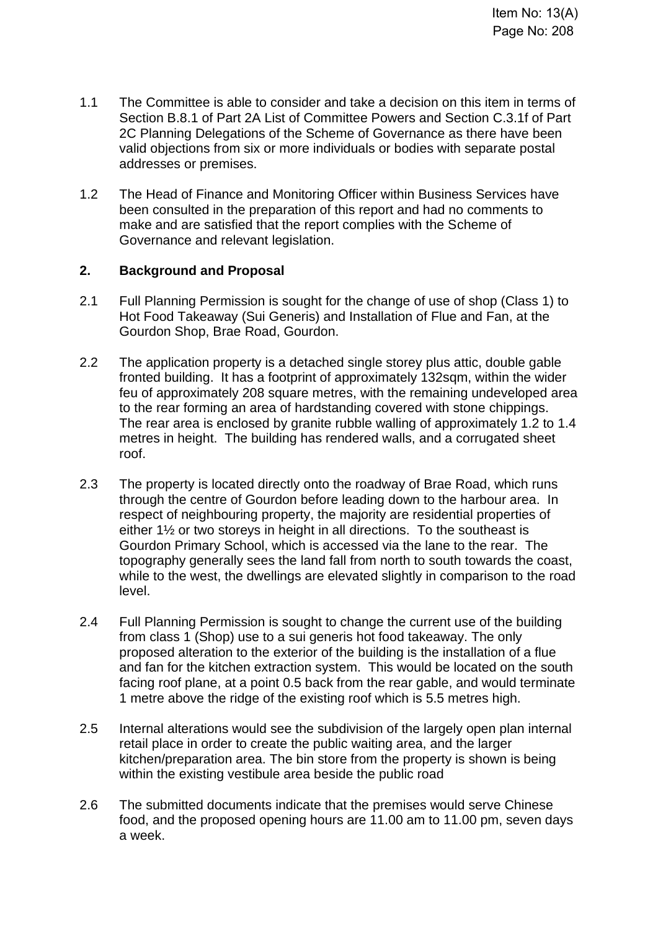- 1.1 The Committee is able to consider and take a decision on this item in terms of Section B.8.1 of Part 2A List of Committee Powers and Section C.3.1f of Part 2C Planning Delegations of the Scheme of Governance as there have been valid objections from six or more individuals or bodies with separate postal addresses or premises.
- 1.2 The Head of Finance and Monitoring Officer within Business Services have been consulted in the preparation of this report and had no comments to make and are satisfied that the report complies with the Scheme of Governance and relevant legislation.

# **2. Background and Proposal**

- 2.1 Full Planning Permission is sought for the change of use of shop (Class 1) to Hot Food Takeaway (Sui Generis) and Installation of Flue and Fan, at the Gourdon Shop, Brae Road, Gourdon.
- 2.2 The application property is a detached single storey plus attic, double gable fronted building. It has a footprint of approximately 132sqm, within the wider feu of approximately 208 square metres, with the remaining undeveloped area to the rear forming an area of hardstanding covered with stone chippings. The rear area is enclosed by granite rubble walling of approximately 1.2 to 1.4 metres in height. The building has rendered walls, and a corrugated sheet roof.
- 2.3 The property is located directly onto the roadway of Brae Road, which runs through the centre of Gourdon before leading down to the harbour area. In respect of neighbouring property, the majority are residential properties of either 1½ or two storeys in height in all directions. To the southeast is Gourdon Primary School, which is accessed via the lane to the rear. The topography generally sees the land fall from north to south towards the coast, while to the west, the dwellings are elevated slightly in comparison to the road level.
- 2.4 Full Planning Permission is sought to change the current use of the building from class 1 (Shop) use to a sui generis hot food takeaway. The only proposed alteration to the exterior of the building is the installation of a flue and fan for the kitchen extraction system. This would be located on the south facing roof plane, at a point 0.5 back from the rear gable, and would terminate 1 metre above the ridge of the existing roof which is 5.5 metres high.
- 2.5 Internal alterations would see the subdivision of the largely open plan internal retail place in order to create the public waiting area, and the larger kitchen/preparation area. The bin store from the property is shown is being within the existing vestibule area beside the public road
- 2.6 The submitted documents indicate that the premises would serve Chinese food, and the proposed opening hours are 11.00 am to 11.00 pm, seven days a week.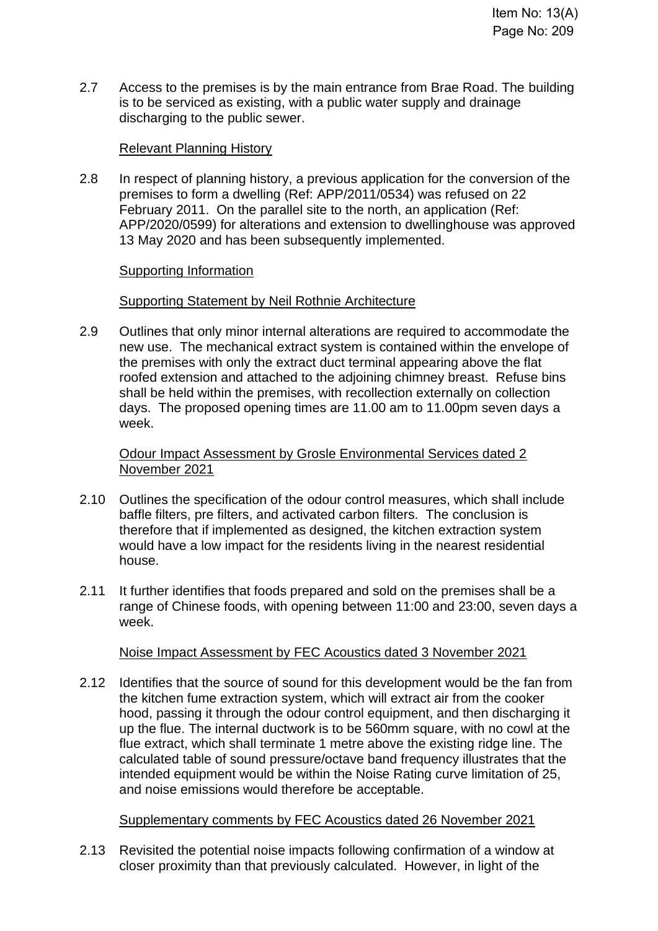2.7 Access to the premises is by the main entrance from Brae Road. The building is to be serviced as existing, with a public water supply and drainage discharging to the public sewer.

# Relevant Planning History

2.8 In respect of planning history, a previous application for the conversion of the premises to form a dwelling (Ref: APP/2011/0534) was refused on 22 February 2011. On the parallel site to the north, an application (Ref: APP/2020/0599) for alterations and extension to dwellinghouse was approved 13 May 2020 and has been subsequently implemented.

#### Supporting Information

# Supporting Statement by Neil Rothnie Architecture

2.9 Outlines that only minor internal alterations are required to accommodate the new use. The mechanical extract system is contained within the envelope of the premises with only the extract duct terminal appearing above the flat roofed extension and attached to the adjoining chimney breast. Refuse bins shall be held within the premises, with recollection externally on collection days. The proposed opening times are 11.00 am to 11.00pm seven days a week.

Odour Impact Assessment by Grosle Environmental Services dated 2 November 2021

- 2.10 Outlines the specification of the odour control measures, which shall include baffle filters, pre filters, and activated carbon filters. The conclusion is therefore that if implemented as designed, the kitchen extraction system would have a low impact for the residents living in the nearest residential house.
- 2.11 It further identifies that foods prepared and sold on the premises shall be a range of Chinese foods, with opening between 11:00 and 23:00, seven days a week.

#### Noise Impact Assessment by FEC Acoustics dated 3 November 2021

2.12 Identifies that the source of sound for this development would be the fan from the kitchen fume extraction system, which will extract air from the cooker hood, passing it through the odour control equipment, and then discharging it up the flue. The internal ductwork is to be 560mm square, with no cowl at the flue extract, which shall terminate 1 metre above the existing ridge line. The calculated table of sound pressure/octave band frequency illustrates that the intended equipment would be within the Noise Rating curve limitation of 25, and noise emissions would therefore be acceptable.

#### Supplementary comments by FEC Acoustics dated 26 November 2021

2.13 Revisited the potential noise impacts following confirmation of a window at closer proximity than that previously calculated. However, in light of the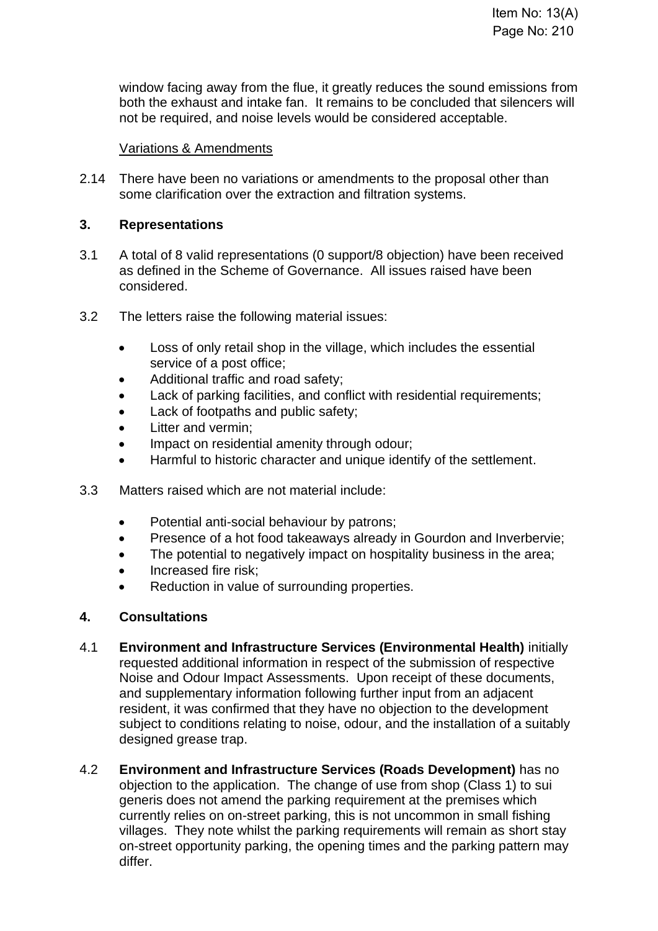window facing away from the flue, it greatly reduces the sound emissions from both the exhaust and intake fan. It remains to be concluded that silencers will not be required, and noise levels would be considered acceptable.

# Variations & Amendments

2.14 There have been no variations or amendments to the proposal other than some clarification over the extraction and filtration systems.

# **3. Representations**

- 3.1 A total of 8 valid representations (0 support/8 objection) have been received as defined in the Scheme of Governance. All issues raised have been considered.
- 3.2 The letters raise the following material issues:
	- Loss of only retail shop in the village, which includes the essential service of a post office;
	- Additional traffic and road safety;
	- Lack of parking facilities, and conflict with residential requirements:
	- Lack of footpaths and public safety;
	- Litter and vermin;
	- Impact on residential amenity through odour;
	- Harmful to historic character and unique identify of the settlement.
- 3.3 Matters raised which are not material include:
	- Potential anti-social behaviour by patrons;
	- Presence of a hot food takeaways already in Gourdon and Inverbervie;
	- The potential to negatively impact on hospitality business in the area;
	- Increased fire risk;
	- Reduction in value of surrounding properties.

#### **4. Consultations**

- 4.1 **Environment and Infrastructure Services (Environmental Health)** initially requested additional information in respect of the submission of respective Noise and Odour Impact Assessments. Upon receipt of these documents, and supplementary information following further input from an adjacent resident, it was confirmed that they have no objection to the development subject to conditions relating to noise, odour, and the installation of a suitably designed grease trap.
- 4.2 **Environment and Infrastructure Services (Roads Development)** has no objection to the application. The change of use from shop (Class 1) to sui generis does not amend the parking requirement at the premises which currently relies on on-street parking, this is not uncommon in small fishing villages. They note whilst the parking requirements will remain as short stay on-street opportunity parking, the opening times and the parking pattern may differ.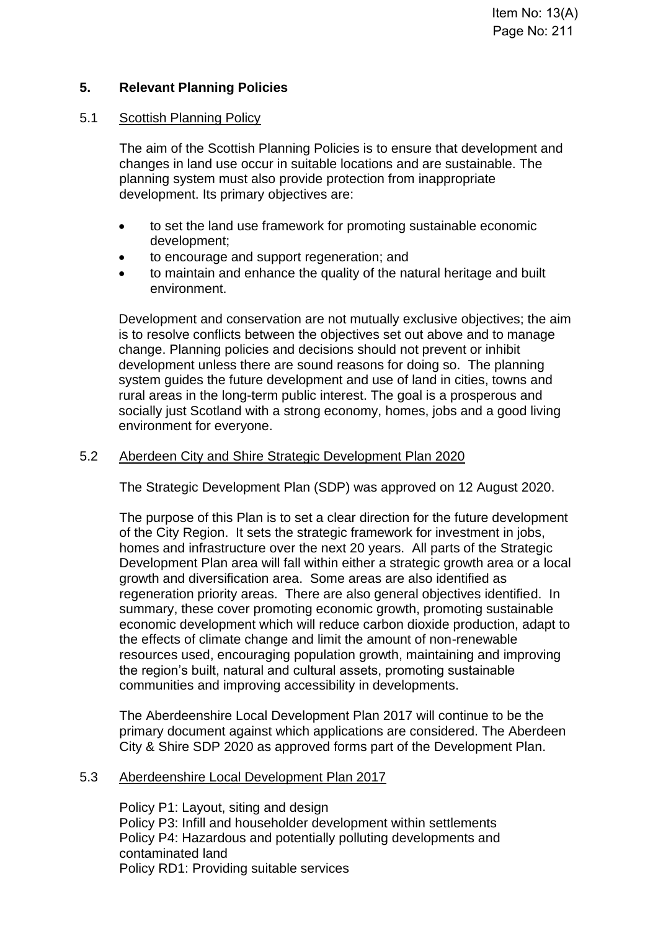# **5. Relevant Planning Policies**

# 5.1 Scottish Planning Policy

The aim of the Scottish Planning Policies is to ensure that development and changes in land use occur in suitable locations and are sustainable. The planning system must also provide protection from inappropriate development. Its primary objectives are:

- to set the land use framework for promoting sustainable economic development;
- to encourage and support regeneration; and
- to maintain and enhance the quality of the natural heritage and built environment.

Development and conservation are not mutually exclusive objectives; the aim is to resolve conflicts between the objectives set out above and to manage change. Planning policies and decisions should not prevent or inhibit development unless there are sound reasons for doing so. The planning system guides the future development and use of land in cities, towns and rural areas in the long-term public interest. The goal is a prosperous and socially just Scotland with a strong economy, homes, jobs and a good living environment for everyone.

# 5.2 Aberdeen City and Shire Strategic Development Plan 2020

The Strategic Development Plan (SDP) was approved on 12 August 2020.

The purpose of this Plan is to set a clear direction for the future development of the City Region. It sets the strategic framework for investment in jobs, homes and infrastructure over the next 20 years. All parts of the Strategic Development Plan area will fall within either a strategic growth area or a local growth and diversification area. Some areas are also identified as regeneration priority areas. There are also general objectives identified. In summary, these cover promoting economic growth, promoting sustainable economic development which will reduce carbon dioxide production, adapt to the effects of climate change and limit the amount of non-renewable resources used, encouraging population growth, maintaining and improving the region's built, natural and cultural assets, promoting sustainable communities and improving accessibility in developments.

The Aberdeenshire Local Development Plan 2017 will continue to be the primary document against which applications are considered. The Aberdeen City & Shire SDP 2020 as approved forms part of the Development Plan.

#### 5.3 Aberdeenshire Local Development Plan 2017

Policy P1: Layout, siting and design Policy P3: Infill and householder development within settlements Policy P4: Hazardous and potentially polluting developments and contaminated land Policy RD1: Providing suitable services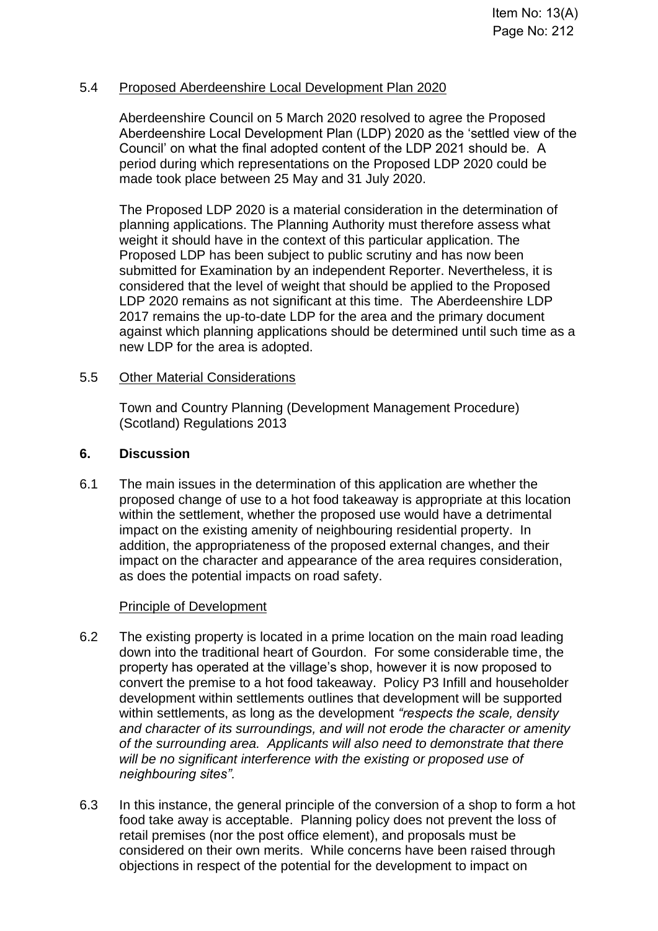#### 5.4 Proposed Aberdeenshire Local Development Plan 2020

Aberdeenshire Council on 5 March 2020 resolved to agree the Proposed Aberdeenshire Local Development Plan (LDP) 2020 as the 'settled view of the Council' on what the final adopted content of the LDP 2021 should be. A period during which representations on the Proposed LDP 2020 could be made took place between 25 May and 31 July 2020.

The Proposed LDP 2020 is a material consideration in the determination of planning applications. The Planning Authority must therefore assess what weight it should have in the context of this particular application. The Proposed LDP has been subject to public scrutiny and has now been submitted for Examination by an independent Reporter. Nevertheless, it is considered that the level of weight that should be applied to the Proposed LDP 2020 remains as not significant at this time. The Aberdeenshire LDP 2017 remains the up-to-date LDP for the area and the primary document against which planning applications should be determined until such time as a new LDP for the area is adopted.

#### 5.5 Other Material Considerations

Town and Country Planning (Development Management Procedure) (Scotland) Regulations 2013

#### **6. Discussion**

6.1 The main issues in the determination of this application are whether the proposed change of use to a hot food takeaway is appropriate at this location within the settlement, whether the proposed use would have a detrimental impact on the existing amenity of neighbouring residential property. In addition, the appropriateness of the proposed external changes, and their impact on the character and appearance of the area requires consideration, as does the potential impacts on road safety.

#### Principle of Development

- 6.2 The existing property is located in a prime location on the main road leading down into the traditional heart of Gourdon. For some considerable time, the property has operated at the village's shop, however it is now proposed to convert the premise to a hot food takeaway. Policy P3 Infill and householder development within settlements outlines that development will be supported within settlements, as long as the development *"respects the scale, density and character of its surroundings, and will not erode the character or amenity of the surrounding area. Applicants will also need to demonstrate that there will be no significant interference with the existing or proposed use of neighbouring sites".*
- 6.3 In this instance, the general principle of the conversion of a shop to form a hot food take away is acceptable. Planning policy does not prevent the loss of retail premises (nor the post office element), and proposals must be considered on their own merits. While concerns have been raised through objections in respect of the potential for the development to impact on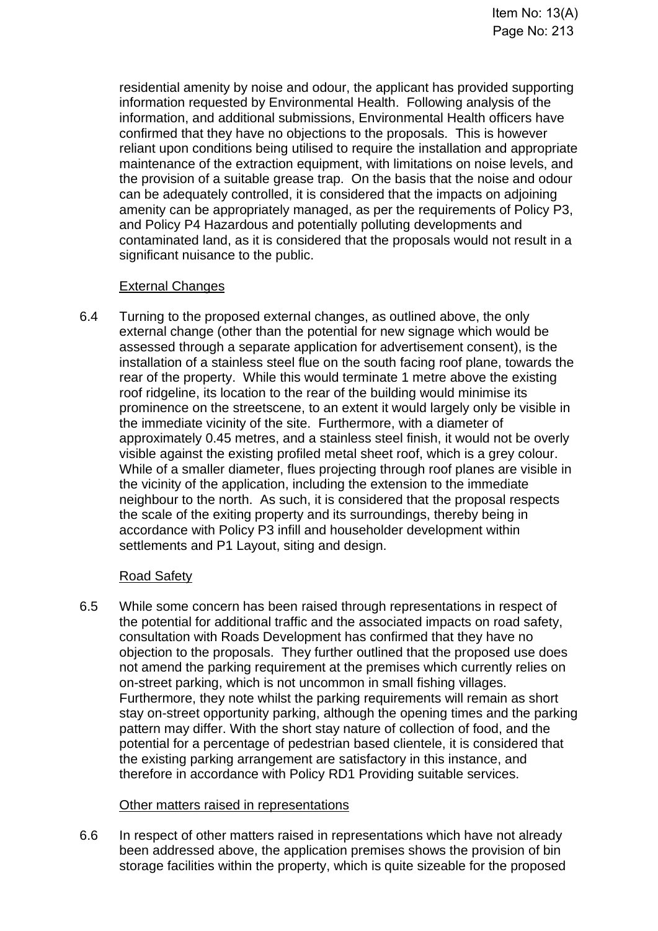residential amenity by noise and odour, the applicant has provided supporting information requested by Environmental Health. Following analysis of the information, and additional submissions, Environmental Health officers have confirmed that they have no objections to the proposals. This is however reliant upon conditions being utilised to require the installation and appropriate maintenance of the extraction equipment, with limitations on noise levels, and the provision of a suitable grease trap. On the basis that the noise and odour can be adequately controlled, it is considered that the impacts on adjoining amenity can be appropriately managed, as per the requirements of Policy P3, and Policy P4 Hazardous and potentially polluting developments and contaminated land, as it is considered that the proposals would not result in a significant nuisance to the public.

# External Changes

6.4 Turning to the proposed external changes, as outlined above, the only external change (other than the potential for new signage which would be assessed through a separate application for advertisement consent), is the installation of a stainless steel flue on the south facing roof plane, towards the rear of the property. While this would terminate 1 metre above the existing roof ridgeline, its location to the rear of the building would minimise its prominence on the streetscene, to an extent it would largely only be visible in the immediate vicinity of the site. Furthermore, with a diameter of approximately 0.45 metres, and a stainless steel finish, it would not be overly visible against the existing profiled metal sheet roof, which is a grey colour. While of a smaller diameter, flues projecting through roof planes are visible in the vicinity of the application, including the extension to the immediate neighbour to the north. As such, it is considered that the proposal respects the scale of the exiting property and its surroundings, thereby being in accordance with Policy P3 infill and householder development within settlements and P1 Layout, siting and design.

# Road Safety

6.5 While some concern has been raised through representations in respect of the potential for additional traffic and the associated impacts on road safety, consultation with Roads Development has confirmed that they have no objection to the proposals. They further outlined that the proposed use does not amend the parking requirement at the premises which currently relies on on-street parking, which is not uncommon in small fishing villages. Furthermore, they note whilst the parking requirements will remain as short stay on-street opportunity parking, although the opening times and the parking pattern may differ. With the short stay nature of collection of food, and the potential for a percentage of pedestrian based clientele, it is considered that the existing parking arrangement are satisfactory in this instance, and therefore in accordance with Policy RD1 Providing suitable services.

# Other matters raised in representations

6.6 In respect of other matters raised in representations which have not already been addressed above, the application premises shows the provision of bin storage facilities within the property, which is quite sizeable for the proposed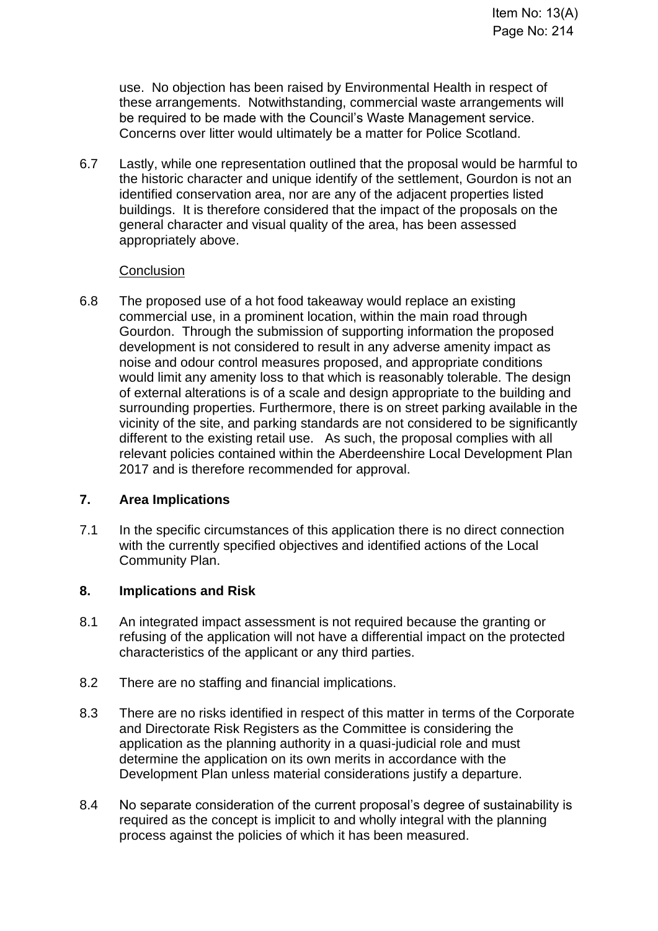use. No objection has been raised by Environmental Health in respect of these arrangements. Notwithstanding, commercial waste arrangements will be required to be made with the Council's Waste Management service. Concerns over litter would ultimately be a matter for Police Scotland.

6.7 Lastly, while one representation outlined that the proposal would be harmful to the historic character and unique identify of the settlement, Gourdon is not an identified conservation area, nor are any of the adjacent properties listed buildings. It is therefore considered that the impact of the proposals on the general character and visual quality of the area, has been assessed appropriately above.

#### **Conclusion**

6.8 The proposed use of a hot food takeaway would replace an existing commercial use, in a prominent location, within the main road through Gourdon. Through the submission of supporting information the proposed development is not considered to result in any adverse amenity impact as noise and odour control measures proposed, and appropriate conditions would limit any amenity loss to that which is reasonably tolerable. The design of external alterations is of a scale and design appropriate to the building and surrounding properties. Furthermore, there is on street parking available in the vicinity of the site, and parking standards are not considered to be significantly different to the existing retail use. As such, the proposal complies with all relevant policies contained within the Aberdeenshire Local Development Plan 2017 and is therefore recommended for approval.

# **7. Area Implications**

7.1 In the specific circumstances of this application there is no direct connection with the currently specified objectives and identified actions of the Local Community Plan.

# **8. Implications and Risk**

- 8.1 An integrated impact assessment is not required because the granting or refusing of the application will not have a differential impact on the protected characteristics of the applicant or any third parties.
- 8.2 There are no staffing and financial implications.
- 8.3 There are no risks identified in respect of this matter in terms of the Corporate and Directorate Risk Registers as the Committee is considering the application as the planning authority in a quasi-judicial role and must determine the application on its own merits in accordance with the Development Plan unless material considerations justify a departure.
- 8.4 No separate consideration of the current proposal's degree of sustainability is required as the concept is implicit to and wholly integral with the planning process against the policies of which it has been measured.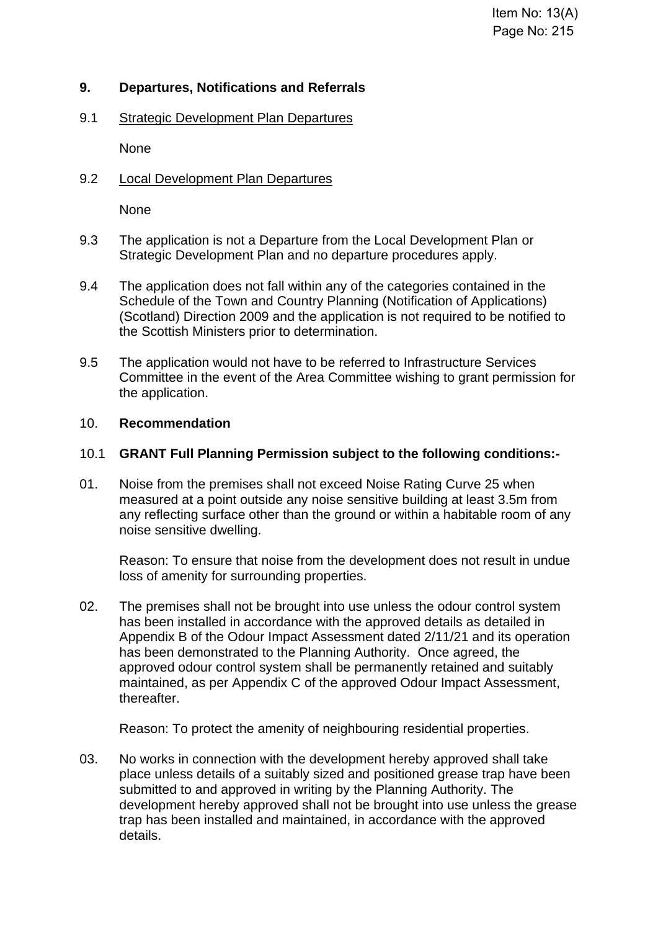# **9. Departures, Notifications and Referrals**

9.1 Strategic Development Plan Departures

None

9.2 Local Development Plan Departures

None

- 9.3 The application is not a Departure from the Local Development Plan or Strategic Development Plan and no departure procedures apply.
- 9.4 The application does not fall within any of the categories contained in the Schedule of the Town and Country Planning (Notification of Applications) (Scotland) Direction 2009 and the application is not required to be notified to the Scottish Ministers prior to determination.
- 9.5 The application would not have to be referred to Infrastructure Services Committee in the event of the Area Committee wishing to grant permission for the application.

#### 10. **Recommendation**

#### 10.1 **GRANT Full Planning Permission subject to the following conditions:-**

01. Noise from the premises shall not exceed Noise Rating Curve 25 when measured at a point outside any noise sensitive building at least 3.5m from any reflecting surface other than the ground or within a habitable room of any noise sensitive dwelling.

Reason: To ensure that noise from the development does not result in undue loss of amenity for surrounding properties.

02. The premises shall not be brought into use unless the odour control system has been installed in accordance with the approved details as detailed in Appendix B of the Odour Impact Assessment dated 2/11/21 and its operation has been demonstrated to the Planning Authority. Once agreed, the approved odour control system shall be permanently retained and suitably maintained, as per Appendix C of the approved Odour Impact Assessment, thereafter.

Reason: To protect the amenity of neighbouring residential properties.

03. No works in connection with the development hereby approved shall take place unless details of a suitably sized and positioned grease trap have been submitted to and approved in writing by the Planning Authority. The development hereby approved shall not be brought into use unless the grease trap has been installed and maintained, in accordance with the approved details.